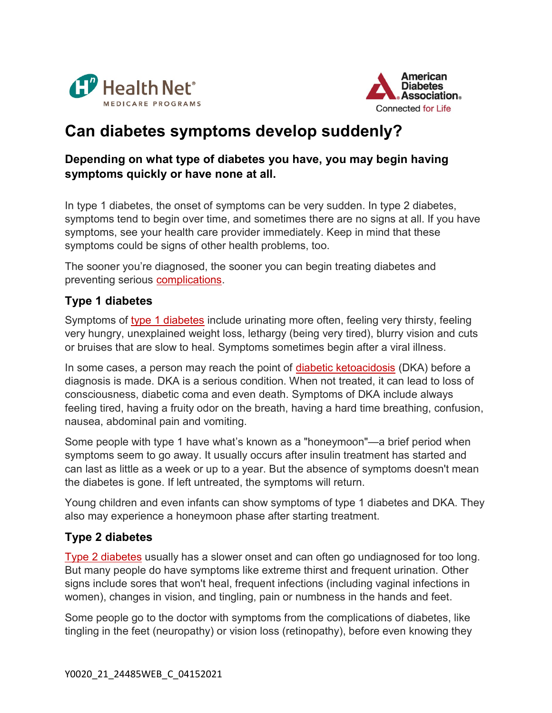



# Can diabetes symptoms develop suddenly?

### Depending on what type of diabetes you have, you may begin having symptoms quickly or have none at all.

In type 1 diabetes, the onset of symptoms can be very sudden. In type 2 diabetes, symptoms tend to begin over time, and sometimes there are no signs at all. If you have symptoms, see your health care provider immediately. Keep in mind that these symptoms could be signs of other health problems, too.

The sooner you're diagnosed, the sooner you can begin treating diabetes and preventing serious complications.

## Type 1 diabetes

Symptoms of type 1 diabetes include urinating more often, feeling very thirsty, feeling very hungry, unexplained weight loss, lethargy (being very tired), blurry vision and cuts or bruises that are slow to heal. Symptoms sometimes begin after a viral illness.

In some cases, a person may reach the point of diabetic ketoacidosis (DKA) before a diagnosis is made. DKA is a serious condition. When not treated, it can lead to loss of consciousness, diabetic coma and even death. Symptoms of DKA include always feeling tired, having a fruity odor on the breath, having a hard time breathing, confusion, nausea, abdominal pain and vomiting.

Some people with type 1 have what's known as a "honeymoon"—a brief period when symptoms seem to go away. It usually occurs after insulin treatment has started and can last as little as a week or up to a year. But the absence of symptoms doesn't mean the diabetes is gone. If left untreated, the symptoms will return.

Young children and even infants can show symptoms of type 1 diabetes and DKA. They also may experience a honeymoon phase after starting treatment.

## Type 2 diabetes

Type 2 diabetes usually has a slower onset and can often go undiagnosed for too long. But many people do have symptoms like extreme thirst and frequent urination. Other signs include sores that won't heal, frequent infections (including vaginal infections in women), changes in vision, and tingling, pain or numbness in the hands and feet.

Some people go to the doctor with symptoms from the complications of diabetes, like tingling in the feet (neuropathy) or vision loss (retinopathy), before even knowing they